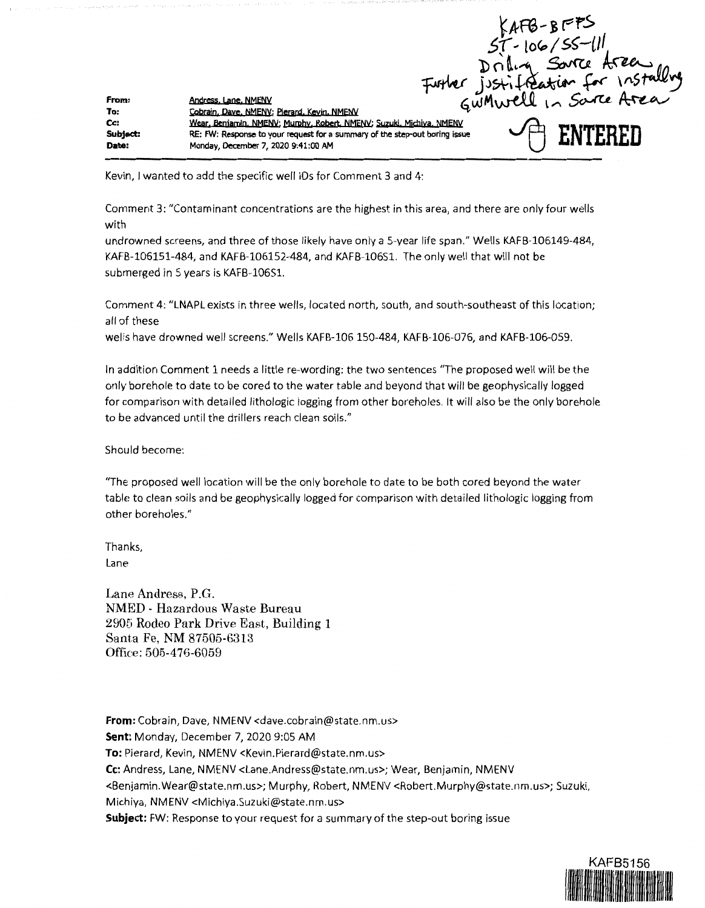KAFB-BFFS<br>ST-106/SS-111<br>Drilling Source Area<br>Further justiffeation for Installing<br>Gumwell In Source Area From: **Andress, Lane, NMENV** To: Cobrain, Dave, NMENV; Pierard, Kevin, NMENV Cc: Wear, Benjamin, NMENV; Murphy, Robert, NMENV; Suzuki, Michiya, NMENV Subject: **RE: FW: Response to your request for a summary of the step-out boring issue Date: Monday, December 7, 2020 9:41:00 AM** 

Kevin, I wanted to add the specific well IDs for Comment 3 and 4:

Comment 3: "Contaminant concentrations are the highest in this area, and there are only four wells with

undrowned screens, and three of those likely have only a 5-year life span." Wells KAFB-106149-484, KAFB-106151-484, and KAFB-106152-484, and KAFB-106S1. The only well that will not be submerged in 5 years is KAFB-106S1.

Comment 4: "LNAPL exists in three wells, located north, south, and south-southeast of this location; all of these

welis have drowned well screens." Wells KAFB-106 150-484, KAFB-106-076, and KAFB-106-059.

In addition Comment 1 needs a little re-wording: the two sentences "The proposed well will be the only borehole to date to be cored to the water table and beyond that will be geophysically logged for comparison with detailed lithologic logging from other boreholes. It will also be the only borehole to be advanced until the drillers reach clean soils."

Should become:

"The proposed well location will be the only borehole to date to be both cored beyond the water table to clean soils and be geophysically logged for comparison with detailed lithologic logging from other boreholes."

Thanks, Lane

Lane Andress, P.G. NMED - Hazardous Waste Bureau 2906 Rodeo Park Drive East, Building 1 Santa Fe, NM 87505-6313 Office: 505-476-6059

**From:** Cobrain, Dave, NMENV <dave.cobrain@state.nm.us> **Sent:** Monday, December 7, 2020 9:05 AM **To:** Pierard, Kevin, NMENV <Kevin.Pierard@state.nm.us> **Cc:** Andress, Lane, NMENV <Lane.Andress@state.nm.us>; Wear, Benjamin, NMENV <Benjamin.Wear@state.nm.us>; Murphy, Robert, NMENV <Robert.Murphy@state.nm.us>; Suzuki, Michiya, NMENV <Michiya.Suzuki@state.nm.us> **Subject:** FW: Response to your request for a summary of the step-out boring issue